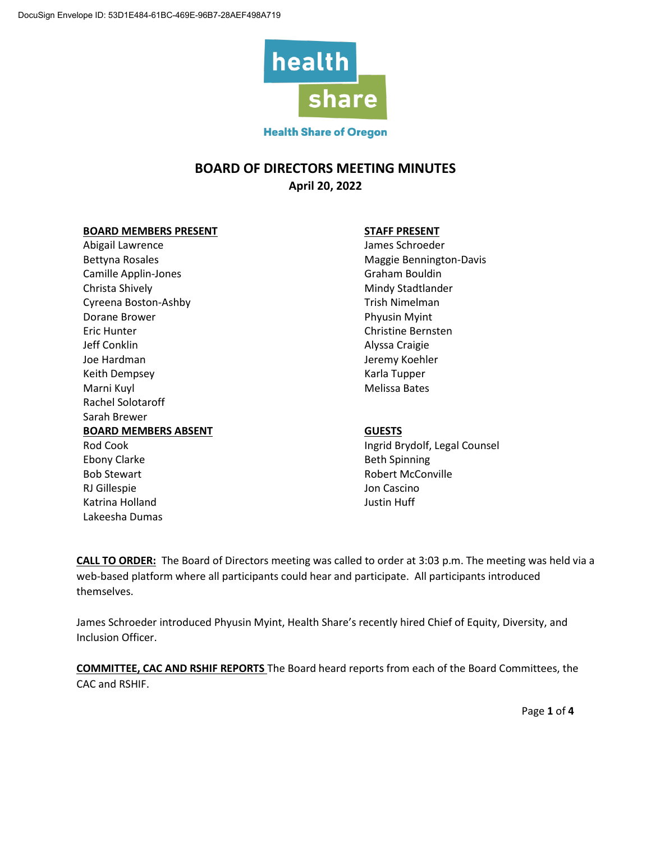

## **BOARD OF DIRECTORS MEETING MINUTES April 20, 2022**

#### **BOARD MEMBERS PRESENT STAFF PRESENT**

Abigail Lawrence and Abigail Lawrence and Abigail Lawrence and Abigail Lawrence and Abigail Lawrence and Abigai Bettyna Rosales **Maggie Bennington-Davis** Maggie Bennington-Davis Camille Applin-Jones **Graham Bouldin** Christa Shively **Mindy Stadtlander Mindy Stadtlander Mindy Stadtlander** Cyreena Boston-Ashby Trish Nimelman Dorane Brower **Phyusin Myint** Eric Hunter Christine Bernsten Jeff Conklin **Alyssa Craigie** Joe Hardman Jeremy Koehler Keith Dempsey **Karla Tupper** Karla Tupper Marni Kuyl Marni Kuyl Melissa Bates Rachel Solotaroff Sarah Brewer **BOARD MEMBERS ABSENT GUESTS** Rod Cook **Ingrid Brydolf, Legal Counsel** Ebony Clarke Beth Spinning Bob Stewart **Robert McConville** RJ Gillespie **Australia Experience Australia Experience** Jon Cascino Katrina Holland Justin Huff Lakeesha Dumas

**CALL TO ORDER:** The Board of Directors meeting was called to order at 3:03 p.m. The meeting was held via a web-based platform where all participants could hear and participate. All participants introduced themselves.

James Schroeder introduced Phyusin Myint, Health Share's recently hired Chief of Equity, Diversity, and Inclusion Officer.

**COMMITTEE, CAC AND RSHIF REPORTS** The Board heard reports from each of the Board Committees, the CAC and RSHIF.

Page **1** of **4**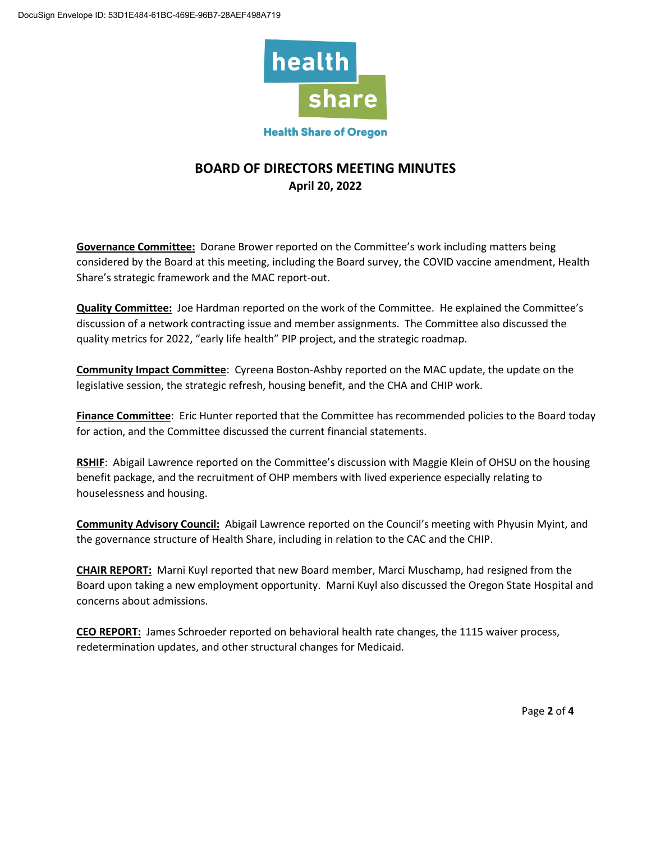

# **BOARD OF DIRECTORS MEETING MINUTES April 20, 2022**

**Governance Committee:** Dorane Brower reported on the Committee's work including matters being considered by the Board at this meeting, including the Board survey, the COVID vaccine amendment, Health Share's strategic framework and the MAC report-out.

**Quality Committee:** Joe Hardman reported on the work of the Committee. He explained the Committee's discussion of a network contracting issue and member assignments. The Committee also discussed the quality metrics for 2022, "early life health" PIP project, and the strategic roadmap.

**Community Impact Committee**: Cyreena Boston-Ashby reported on the MAC update, the update on the legislative session, the strategic refresh, housing benefit, and the CHA and CHIP work.

**Finance Committee**: Eric Hunter reported that the Committee has recommended policies to the Board today for action, and the Committee discussed the current financial statements.

**RSHIF**: Abigail Lawrence reported on the Committee's discussion with Maggie Klein of OHSU on the housing benefit package, and the recruitment of OHP members with lived experience especially relating to houselessness and housing.

**Community Advisory Council:** Abigail Lawrence reported on the Council's meeting with Phyusin Myint, and the governance structure of Health Share, including in relation to the CAC and the CHIP.

**CHAIR REPORT:** Marni Kuyl reported that new Board member, Marci Muschamp, had resigned from the Board upon taking a new employment opportunity. Marni Kuyl also discussed the Oregon State Hospital and concerns about admissions.

**CEO REPORT:** James Schroeder reported on behavioral health rate changes, the 1115 waiver process, redetermination updates, and other structural changes for Medicaid.

Page **2** of **4**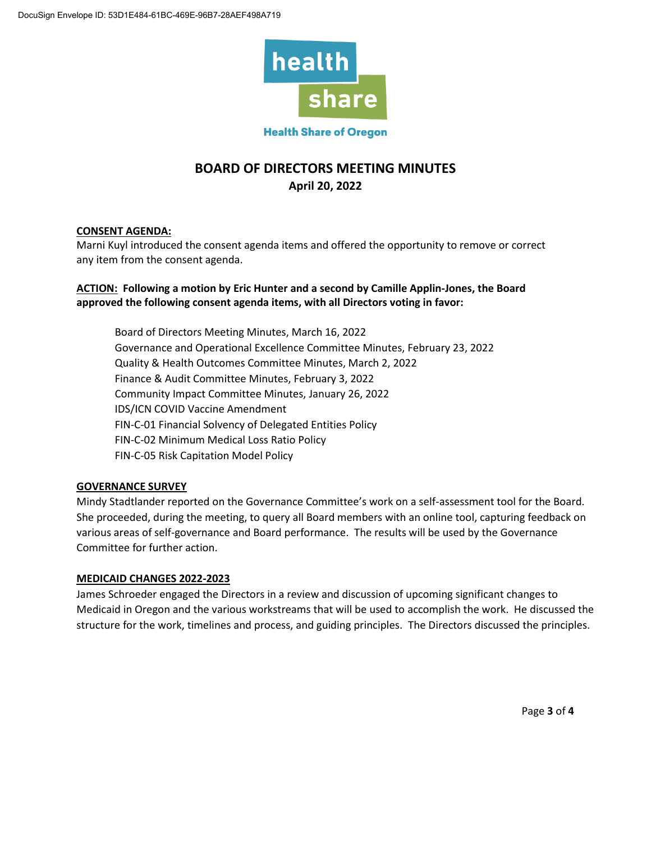

# **BOARD OF DIRECTORS MEETING MINUTES April 20, 2022**

## **CONSENT AGENDA:**

Marni Kuyl introduced the consent agenda items and offered the opportunity to remove or correct any item from the consent agenda.

## **ACTION: Following a motion by Eric Hunter and a second by Camille Applin-Jones, the Board approved the following consent agenda items, with all Directors voting in favor:**

Board of Directors Meeting Minutes, March 16, 2022 Governance and Operational Excellence Committee Minutes, February 23, 2022 Quality & Health Outcomes Committee Minutes, March 2, 2022 Finance & Audit Committee Minutes, February 3, 2022 Community Impact Committee Minutes, January 26, 2022 IDS/ICN COVID Vaccine Amendment FIN-C-01 Financial Solvency of Delegated Entities Policy FIN-C-02 Minimum Medical Loss Ratio Policy FIN-C-05 Risk Capitation Model Policy

#### **GOVERNANCE SURVEY**

Mindy Stadtlander reported on the Governance Committee's work on a self-assessment tool for the Board. She proceeded, during the meeting, to query all Board members with an online tool, capturing feedback on various areas of self-governance and Board performance. The results will be used by the Governance Committee for further action.

## **MEDICAID CHANGES 2022-2023**

James Schroeder engaged the Directors in a review and discussion of upcoming significant changes to Medicaid in Oregon and the various workstreams that will be used to accomplish the work. He discussed the structure for the work, timelines and process, and guiding principles. The Directors discussed the principles.

Page **3** of **4**